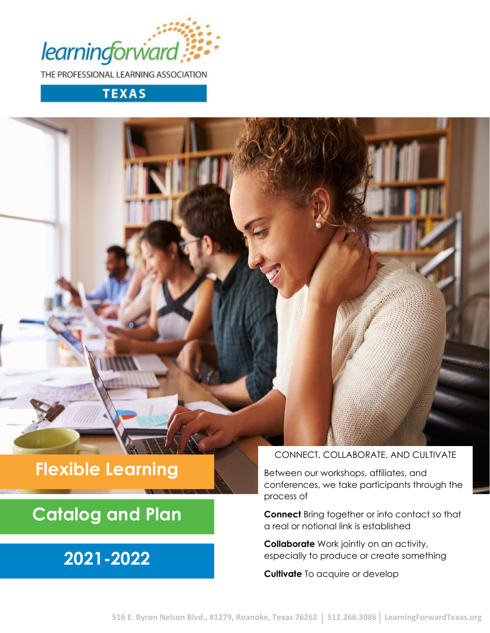

THE PROFESSIONAL LEARNING ASSOCIATION

# **TEXAS**

# **Flexible Learning**

# **Catalog and Plan**

# **2021-2022**

# CONNECT, COLLABORATE, AND CULTIVATE

Between our workshops, affiliates, and conferences, we take participants through the process of

**Connect** Bring together or into contact so that a real or notional link is established

**Collaborate** Work jointly on an activity, especially to produce or create something

**Cultivate** To acquire or develop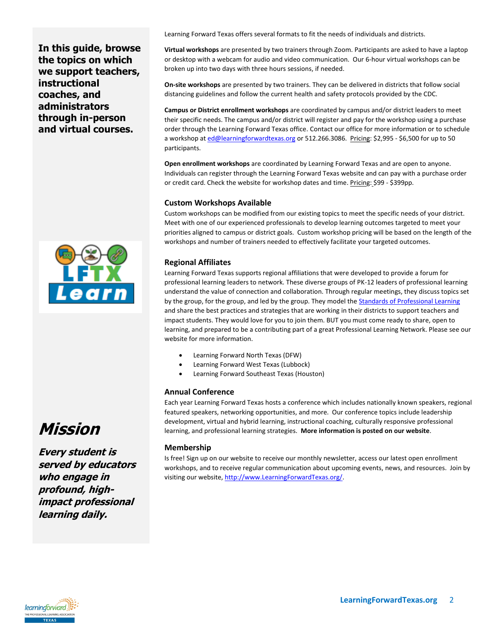**In this guide, browse the topics on which we support teachers, instructional coaches, and administrators through in-person and virtual courses.**



Learning Forward Texas offers several formats to fit the needs of individuals and districts.

**Virtual workshops** are presented by two trainers through Zoom. Participants are asked to have a laptop or desktop with a webcam for audio and video communication. Our 6-hour virtual workshops can be broken up into two days with three hours sessions, if needed.

**On-site workshops** are presented by two trainers. They can be delivered in districts that follow social distancing guidelines and follow the current health and safety protocols provided by the CDC.

**Campus or District enrollment workshops** are coordinated by campus and/or district leaders to meet their specific needs. The campus and/or district will register and pay for the workshop using a purchase order through the Learning Forward Texas office. Contact our office for more information or to schedule a workshop a[t ed@learningforwardtexas.org](mailto:ed@learningforwardtexas.org) or 512.266.3086. Pricing: \$2,995 - \$6,500 for up to 50 participants.

**Open enrollment workshops** are coordinated by Learning Forward Texas and are open to anyone. Individuals can register through the Learning Forward Texas website and can pay with a purchase order or credit card. Check the website for workshop dates and time. Pricing: \$99 - \$399pp.

### **Custom Workshops Available**

Custom workshops can be modified from our existing topics to meet the specific needs of your district. Meet with one of our experienced professionals to develop learning outcomes targeted to meet your priorities aligned to campus or district goals. Custom workshop pricing will be based on the length of the workshops and number of trainers needed to effectively facilitate your targeted outcomes.

## **Regional Affiliates**

Learning Forward Texas supports regional affiliations that were developed to provide a forum for professional learning leaders to network. These diverse groups of PK-12 leaders of professional learning understand the value of connection and collaboration. Through regular meetings, they discuss topics set by the group, for the group, and led by the group. They model the **Standards of Professional Learning** and share the best practices and strategies that are working in their districts to support teachers and impact students. They would love for you to join them. BUT you must come ready to share, open to learning, and prepared to be a contributing part of a great Professional Learning Network. Please see our website for more information.

- Learning Forward North Texas (DFW)
- Learning Forward West Texas (Lubbock)
- Learning Forward Southeast Texas (Houston)

### **Annual Conference**

Each year Learning Forward Texas hosts a conference which includes nationally known speakers, regional featured speakers, networking opportunities, and more. Our conference topics include leadership development, virtual and hybrid learning, instructional coaching, culturally responsive professional learning, and professional learning strategies. **More information is posted on our website**.

### **Membership**

Is free! Sign up on our website to receive our monthly newsletter, access our latest open enrollment workshops, and to receive regular communication about upcoming events, news, and resources. Join by visiting our website, [http://www.LearningForwardTexas.org/.](http://www.learningforwardtexas.org/)



**Every student is served by educators who engage in profound, highimpact professional learning daily.**

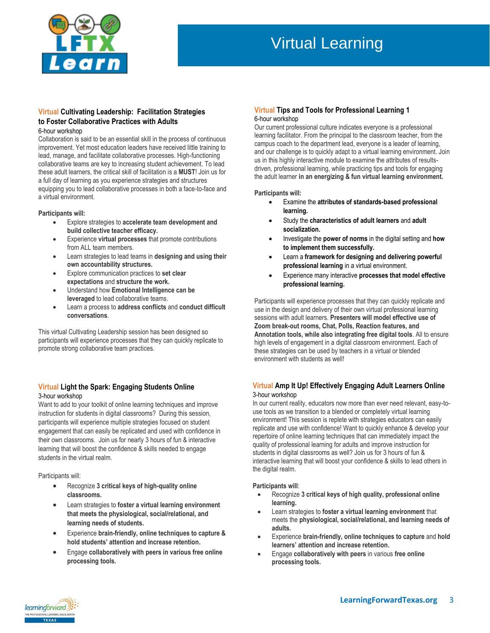

# Virtual Learning

# **Virtual Cultivating Leadership: Facilitation Strategies to Foster Collaborative Practices with Adults**

#### 6-hour workshop

Collaboration is said to be an essential skill in the process of continuous improvement. Yet most education leaders have received little training to lead, manage, and facilitate collaborative processes. High-functioning collaborative teams are key to increasing student achievement. To lead these adult learners, the critical skill of facilitation is a **MUST**! Join us for a full day of learning as you experience strategies and structures equipping you to lead collaborative processes in both a face-to-face and a virtual environment.

#### **Participants will:**

- Explore strategies to **accelerate team development and build collective teacher efficacy.**
- Experience **virtual processes** that promote contributions from ALL team members.
- Learn strategies to lead teams in **designing and using their own accountability structures.**
- Explore communication practices to **set clear expectations** and **structure the work.**
- Understand how **Emotional Intelligence can be leveraged** to lead collaborative teams.
- Learn a process to **address conflicts** and **conduct difficult conversations**.

This virtual Cultivating Leadership session has been designed so participants will experience processes that they can quickly replicate to promote strong collaborative team practices.

### **Virtual Light the Spark: Engaging Students Online** 3-hour workshop

Want to add to your toolkit of online learning techniques and improve instruction for students in digital classrooms? During this session, participants will experience multiple strategies focused on student engagement that can easily be replicated and used with confidence in their own classrooms. Join us for nearly 3 hours of fun & interactive learning that will boost the confidence & skills needed to engage students in the virtual realm.

Participants will:

- Recognize **3 critical keys of high-quality online classrooms.**
- Learn strategies to **foster a virtual learning environment that meets the physiological, social/relational, and learning needs of students.**
- Experience **brain-friendly, online techniques to capture & hold students' attention and increase retention.**
- Engage **collaboratively with peers in various free online processing tools.**

### **Virtual Tips and Tools for Professional Learning 1**  6-hour workshop

Our current professional culture indicates everyone is a professional learning facilitator. From the principal to the classroom teacher, from the campus coach to the department lead, everyone is a leader of learning, and our challenge is to quickly adapt to a virtual learning environment. Join us in this highly interactive module to examine the attributes of resultsdriven, professional learning, while practicing tips and tools for engaging the adult learner **in an energizing & fun virtual learning environment.**

### **Participants will:**

- Examine the **attributes of standards-based professional learning.**
- Study the **characteristics of adult learners** and **adult socialization.**
- Investigate the **power of norms** in the digital setting and **how to implement them successfully.**
- Learn a **framework for designing and delivering powerful professional learning** in a virtual environment.
- Experience many interactive **processes that model effective professional learning.**

Participants will experience processes that they can quickly replicate and use in the design and delivery of their own virtual professional learning sessions with adult learners. **Presenters will model effective use of Zoom break-out rooms, Chat, Polls, Reaction features, and Annotation tools, while also integrating free digital tools**. All to ensure high levels of engagement in a digital classroom environment. Each of these strategies can be used by teachers in a virtual or blended environment with students as well!

### **Virtual Amp It Up! Effectively Engaging Adult Learners Online** 3-hour workshop

In our current reality, educators now more than ever need relevant, easy-touse tools as we transition to a blended or completely virtual learning environment! This session is replete with strategies educators can easily replicate and use with confidence! Want to quickly enhance & develop your repertoire of online learning techniques that can immediately impact the quality of professional learning for adults and improve instruction for students in digital classrooms as well? Join us for 3 hours of fun & interactive learning that will boost your confidence & skills to lead others in the digital realm.

### **Participants will**:

- Recognize **3 critical keys of high quality, professional online learning.**
- Learn strategies to **foster a virtual learning environment** that meets the **physiological, social/relational, and learning needs of adults.**
- Experience **brain-friendly, online techniques to capture** and **hold learners' attention and increase retention.**
- Engage **collaboratively with peers** in various **free online processing tools.**

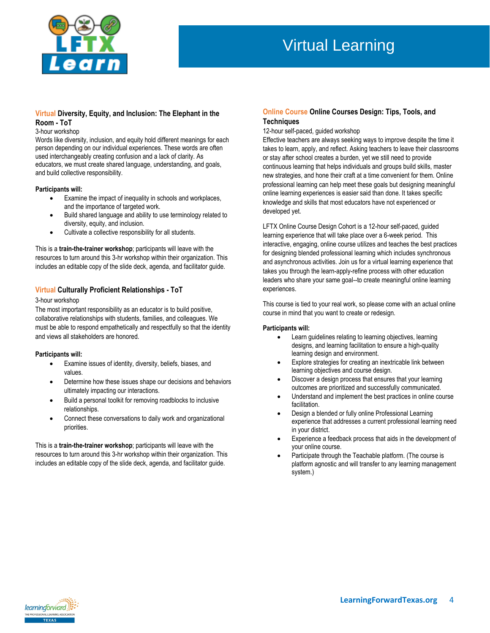

# Virtual Learning

## **Virtual Diversity, Equity, and Inclusion: The Elephant in the Room - ToT**

#### 3-hour workshop

Words like diversity, inclusion, and equity hold different meanings for each person depending on our individual experiences. These words are often used interchangeably creating confusion and a lack of clarity. As educators, we must create shared language, understanding, and goals, and build collective responsibility.

### **Participants will:**

- Examine the impact of inequality in schools and workplaces, and the importance of targeted work.
- Build shared language and ability to use terminology related to diversity, equity, and inclusion.
- Cultivate a collective responsibility for all students.

This is a **train-the-trainer workshop**; participants will leave with the resources to turn around this 3-hr workshop within their organization. This includes an editable copy of the slide deck, agenda, and facilitator guide.

### **Virtual Culturally Proficient Relationships - ToT**

### 3-hour workshop

The most important responsibility as an educator is to build positive, collaborative relationships with students, families, and colleagues. We must be able to respond empathetically and respectfully so that the identity and views all stakeholders are honored.

### **Participants will:**

- Examine issues of identity, diversity, beliefs, biases, and values.
- Determine how these issues shape our decisions and behaviors ultimately impacting our interactions.
- Build a personal toolkit for removing roadblocks to inclusive relationships.
- Connect these conversations to daily work and organizational priorities.

This is a **train-the-trainer workshop**; participants will leave with the resources to turn around this 3-hr workshop within their organization. This includes an editable copy of the slide deck, agenda, and facilitator guide.

## **Online Course Online Courses Design: Tips, Tools, and Techniques**

#### 12-hour self-paced, guided workshop

Effective teachers are always seeking ways to improve despite the time it takes to learn, apply, and reflect. Asking teachers to leave their classrooms or stay after school creates a burden, yet we still need to provide continuous learning that helps individuals and groups build skills, master new strategies, and hone their craft at a time convenient for them. Online professional learning can help meet these goals but designing meaningful online learning experiences is easier said than done. It takes specific knowledge and skills that most educators have not experienced or developed yet.

LFTX Online Course Design Cohort is a 12-hour self-paced, guided learning experience that will take place over a 6-week period. This interactive, engaging, online course utilizes and teaches the best practices for designing blended professional learning which includes synchronous and asynchronous activities. Join us for a virtual learning experience that takes you through the learn-apply-refine process with other education leaders who share your same goal--to create meaningful online learning experiences.

This course is tied to your real work, so please come with an actual online course in mind that you want to create or redesign.

### **Participants will:**

- Learn guidelines relating to learning objectives, learning designs, and learning facilitation to ensure a high-quality learning design and environment.
- Explore strategies for creating an inextricable link between learning objectives and course design.
- Discover a design process that ensures that your learning outcomes are prioritized and successfully communicated.
- Understand and implement the best practices in online course facilitation.
- Design a blended or fully online Professional Learning experience that addresses a current professional learning need in your district.
- Experience a feedback process that aids in the development of your online course.
- Participate through the Teachable platform. (The course is platform agnostic and will transfer to any learning management system.)

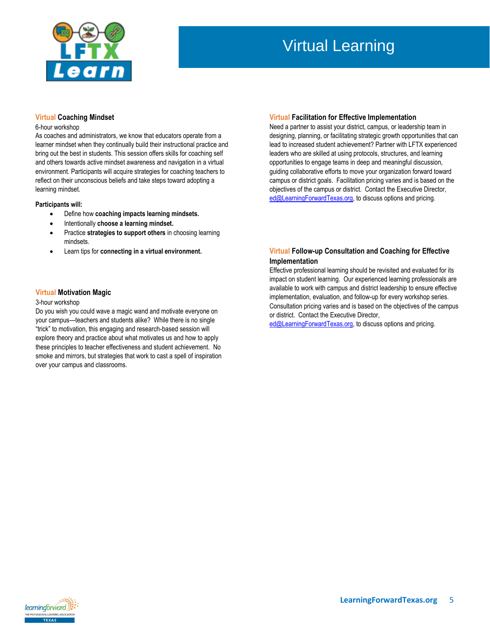

# Virtual Learning

### **Virtual Coaching Mindset**

### 6-hour workshop

As coaches and administrators, we know that educators operate from a learner mindset when they continually build their instructional practice and bring out the best in students. This session offers skills for coaching self and others towards active mindset awareness and navigation in a virtual environment. Participants will acquire strategies for coaching teachers to reflect on their unconscious beliefs and take steps toward adopting a learning mindset.

### **Participants will:**

- Define how **coaching impacts learning mindsets.**
- Intentionally **choose a learning mindset.**
- Practice **strategies to support others** in choosing learning mindsets.
- Learn tips for **connecting in a virtual environment.**

### **Virtual Motivation Magic**

### 3-hour workshop

Do you wish you could wave a magic wand and motivate everyone on your campus—teachers and students alike? While there is no single "trick" to motivation, this engaging and research-based session will explore theory and practice about what motivates us and how to apply these principles to teacher effectiveness and student achievement. No smoke and mirrors, but strategies that work to cast a spell of inspiration over your campus and classrooms.

#### **Virtual Facilitation for Effective Implementation**

Need a partner to assist your district, campus, or leadership team in designing, planning, or facilitating strategic growth opportunities that can lead to increased student achievement? Partner with LFTX experienced leaders who are skilled at using protocols, structures, and learning opportunities to engage teams in deep and meaningful discussion, guiding collaborative efforts to move your organization forward toward campus or district goals. Facilitation pricing varies and is based on the objectives of the campus or district. Contact the Executive Director, [ed@LearningForwardTexas.org,](file:///C:/Users/lftx/Desktop/RFP%20Docs/ed@LearningForwardTexas.org) to discuss options and pricing.

### **Virtual Follow-up Consultation and Coaching for Effective Implementation**

Effective professional learning should be revisited and evaluated for its impact on student learning. Our experienced learning professionals are available to work with campus and district leadership to ensure effective implementation, evaluation, and follow-up for every workshop series. Consultation pricing varies and is based on the objectives of the campus or district. Contact the Executive Director,

[ed@LearningForwardTexas.org,](file:///C:/Users/lftx/Downloads/ed@learningforwardtexas.org) to discuss options and pricing.

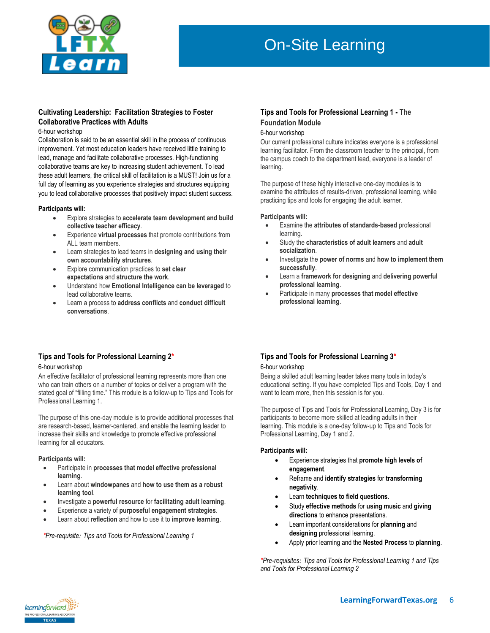

# On-Site Learning

# **Cultivating Leadership: Facilitation Strategies to Foster Collaborative Practices with Adults**

#### 6-hour workshop

Collaboration is said to be an essential skill in the process of continuous improvement. Yet most education leaders have received little training to lead, manage and facilitate collaborative processes. High-functioning collaborative teams are key to increasing student achievement. To lead these adult learners, the critical skill of facilitation is a MUST! Join us for a full day of learning as you experience strategies and structures equipping you to lead collaborative processes that positively impact student success.

### **Participants will:**

- Explore strategies to **accelerate team development and build collective teacher efficacy**.
- Experience **virtual processes** that promote contributions from ALL team members.
- Learn strategies to lead teams in **designing and using their own accountability structures**.
- Explore communication practices to **set clear expectations** and **structure the work**.
- Understand how **Emotional Intelligence can be leveraged** to lead collaborative teams.
- Learn a process to **address conflicts** and **conduct difficult conversations**.

## **Tips and Tools for Professional Learning 1 - The Foundation Module**

### 6-hour workshop

Our current professional culture indicates everyone is a professional learning facilitator. From the classroom teacher to the principal, from the campus coach to the department lead, everyone is a leader of learning.

The purpose of these highly interactive one-day modules is to examine the attributes of results-driven, professional learning, while practicing tips and tools for engaging the adult learner.

#### **Participants will:**

- Examine the **attributes of standards-based** professional learning.
- Study the **characteristics of adult learners** and **adult socialization**.
- Investigate the **power of norms** and **how to implement them successfully**.
- Learn a **framework for designing** and **delivering powerful professional learning**.
- Participate in many **processes that model effective professional learning**.

# **Tips and Tools for Professional Learning 2\***

### 6-hour workshop

An effective facilitator of professional learning represents more than one who can train others on a number of topics or deliver a program with the stated goal of "filling time." This module is a follow-up to Tips and Tools for Professional Learning 1.

The purpose of this one-day module is to provide additional processes that are research-based, learner-centered, and enable the learning leader to increase their skills and knowledge to promote effective professional learning for all educators.

### **Participants will:**

- Participate in **processes that model effective professional learning**.
- Learn about **windowpanes** and **how to use them as a robust learning tool**.
- Investigate a **powerful resource** for **facilitating adult learning**.
- Experience a variety of **purposeful engagement strategies**.
- Learn about **reflection** and how to use it to **improve learning**.

*\*Pre-requisite: Tips and Tools for Professional Learning 1*

### **Tips and Tools for Professional Learning 3\*** 6-hour workshop

Being a skilled adult learning leader takes many tools in today's educational setting. If you have completed Tips and Tools, Day 1 and want to learn more, then this session is for you.

The purpose of Tips and Tools for Professional Learning, Day 3 is for participants to become more skilled at leading adults in their learning. This module is a one-day follow-up to Tips and Tools for Professional Learning, Day 1 and 2.

### **Participants will:**

- Experience strategies that **promote high levels of engagement**.
- Reframe and **identify strategies** for **transforming negativity**.
- Learn **techniques to field questions**.
- Study **effective methods** for **using music** and **giving directions** to enhance presentations.
- Learn important considerations for **planning** and **designing** professional learning.
- Apply prior learning and the **Nested Process** to **planning**.

*\*Pre-requisites: Tips and Tools for Professional Learning 1 and Tips and Tools for Professional Learning 2*